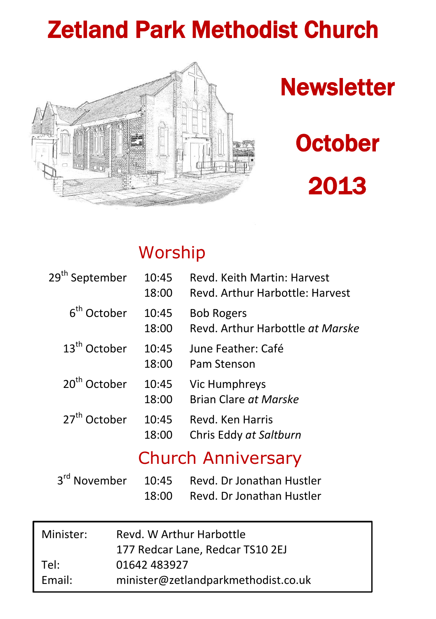## Zetland Park Methodist Church



# **Newsletter**

# **October** 2013

## Worship

| 29 <sup>th</sup> September | 10:45<br>18:00 | Revd. Keith Martin: Harvest<br>Revd. Arthur Harbottle: Harvest |
|----------------------------|----------------|----------------------------------------------------------------|
| 6 <sup>th</sup> October    | 10:45<br>18:00 | <b>Bob Rogers</b><br>Revd. Arthur Harbottle at Marske          |
| $13th$ October             | 10:45<br>18:00 | June Feather: Café<br>Pam Stenson                              |
| 20 <sup>th</sup> October   | 10:45<br>18:00 | Vic Humphreys<br>Brian Clare at Marske                         |
| 27 <sup>th</sup> October   | 10:45<br>18:00 | Revd. Ken Harris<br>Chris Eddy at Saltburn                     |
|                            |                | <b>Church Anniversary</b>                                      |
| المعا                      |                |                                                                |

|       | 3 <sup>rd</sup> November 10:45 Revd. Dr Jonathan Hustler |
|-------|----------------------------------------------------------|
| 18:00 | Revd. Dr Jonathan Hustler                                |

| Minister: | Revd. W Arthur Harbottle            |  |  |
|-----------|-------------------------------------|--|--|
|           | 177 Redcar Lane, Redcar TS10 2EJ    |  |  |
| Tel:      | 01642 483927                        |  |  |
| Email:    | minister@zetlandparkmethodist.co.uk |  |  |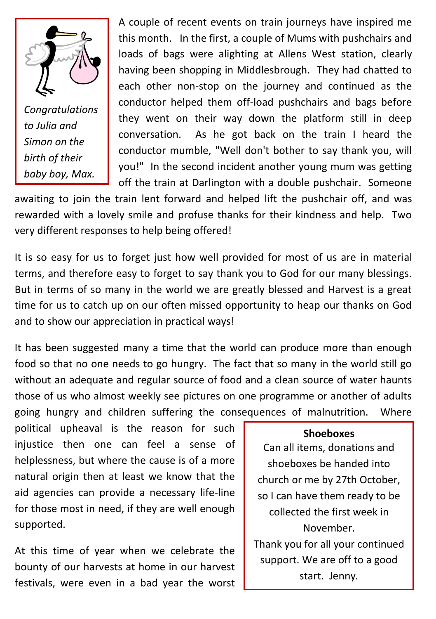

*Congratulations to Julia and Simon on the birth of their baby boy, Max.*

A couple of recent events on train journeys have inspired me this month. In the first, a couple of Mums with pushchairs and loads of bags were alighting at Allens West station, clearly having been shopping in Middlesbrough. They had chatted to each other non-stop on the journey and continued as the conductor helped them off-load pushchairs and bags before they went on their way down the platform still in deep conversation. As he got back on the train I heard the conductor mumble, "Well don't bother to say thank you, will you!" In the second incident another young mum was getting off the train at Darlington with a double pushchair. Someone

awaiting to join the train lent forward and helped lift the pushchair off, and was rewarded with a lovely smile and profuse thanks for their kindness and help. Two very different responses to help being offered!

It is so easy for us to forget just how well provided for most of us are in material terms, and therefore easy to forget to say thank you to God for our many blessings. But in terms of so many in the world we are greatly blessed and Harvest is a great time for us to catch up on our often missed opportunity to heap our thanks on God and to show our appreciation in practical ways!

It has been suggested many a time that the world can produce more than enough food so that no one needs to go hungry. The fact that so many in the world still go without an adequate and regular source of food and a clean source of water haunts those of us who almost weekly see pictures on one programme or another of adults going hungry and children suffering the consequences of malnutrition. Where

political upheaval is the reason for such injustice then one can feel a sense of helplessness, but where the cause is of a more natural origin then at least we know that the aid agencies can provide a necessary life-line for those most in need, if they are well enough supported.

At this time of year when we celebrate the bounty of our harvests at home in our harvest festivals, were even in a bad year the worst

#### **Shoeboxes**

Can all items, donations and shoeboxes be handed into church or me by 27th October, so I can have them ready to be collected the first week in November. Thank you for all your continued support. We are off to a good

start. Jenny*.*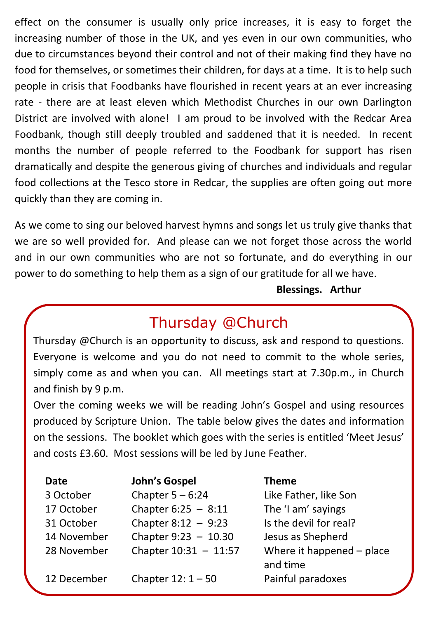effect on the consumer is usually only price increases, it is easy to forget the increasing number of those in the UK, and yes even in our own communities, who due to circumstances beyond their control and not of their making find they have no food for themselves, or sometimes their children, for days at a time. It is to help such people in crisis that Foodbanks have flourished in recent years at an ever increasing rate - there are at least eleven which Methodist Churches in our own Darlington District are involved with alone! I am proud to be involved with the Redcar Area Foodbank, though still deeply troubled and saddened that it is needed. In recent months the number of people referred to the Foodbank for support has risen dramatically and despite the generous giving of churches and individuals and regular food collections at the Tesco store in Redcar, the supplies are often going out more quickly than they are coming in.

As we come to sing our beloved harvest hymns and songs let us truly give thanks that we are so well provided for. And please can we not forget those across the world and in our own communities who are not so fortunate, and do everything in our power to do something to help them as a sign of our gratitude for all we have.

#### **Blessings. Arthur**

## Thursday @Church

Thursday @Church is an opportunity to discuss, ask and respond to questions. Everyone is welcome and you do not need to commit to the whole series, simply come as and when you can. All meetings start at 7.30p.m., in Church and finish by 9 p.m.

Over the coming weeks we will be reading John's Gospel and using resources produced by Scripture Union. The table below gives the dates and information on the sessions. The booklet which goes with the series is entitled 'Meet Jesus' and costs £3.60. Most sessions will be led by June Feather.

| Date        | John's Gospel          | <b>Theme</b>                          |
|-------------|------------------------|---------------------------------------|
| 3 October   | Chapter $5 - 6:24$     | Like Father, like Son                 |
| 17 October  | Chapter $6:25 - 8:11$  | The 'I am' sayings                    |
| 31 October  | Chapter $8:12 - 9:23$  | Is the devil for real?                |
| 14 November | Chapter $9:23 - 10.30$ | Jesus as Shepherd                     |
| 28 November | Chapter 10:31 - 11:57  | Where it happened - place<br>and time |
| 12 December | Chapter $12:1 - 50$    | Painful paradoxes                     |